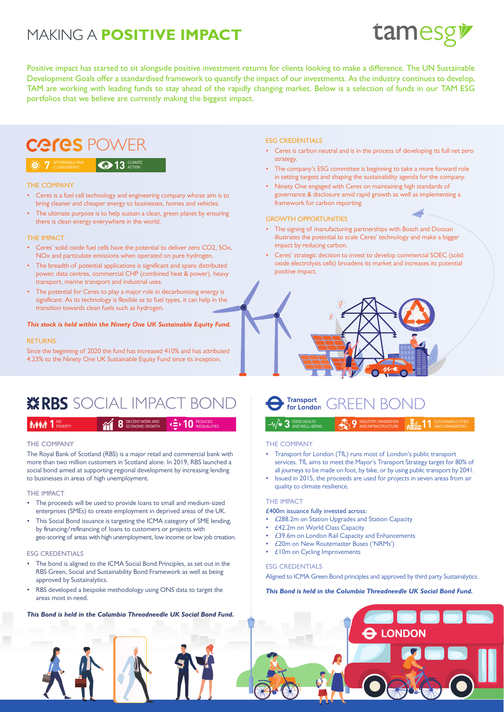## MAKING A **POSITIVE IMPACT**



Positive impact has started to sit alongside positive investment returns for clients looking to make a difference. The UN Sustainable Development Goals offer a standardised framework to quantify the impact of our investments. As the industry continues to develop, TAM are working with leading funds to stay ahead of the rapidly changing market. Below is a selection of funds in our TAM ESG portfolios that we believe are currently making the biggest impact.

## Ceres POWER

#### **AFFORDABLE AND CLEAN ENERGY**

#### THE COMPANY

• Ceres is a fuel cell technology and engineering company whose aim is to bring cleaner and cheaper energy to businesses, homes and vehicles.

**13** ACTION

The ultimate purpose is to help sustain a clean, green planet by ensuring there is clean energy everywhere in the world.

#### THE IMPACT

- Ceres' solid-oxide fuel cells have the potential to deliver zero CO2, SOx, NOx and particulate emissions when operated on pure hydrogen.
- The breadth of potential applications is significant and spans distributed power, data centres, commercial CHP (combined heat & power), heavy transport, marine transport and industrial uses.
- The potential for Ceres to play a major role in decarbonising energy is significant. As its technology is flexible as to fuel types, it can help in the transition towards clean fuels such as hydrogen.

#### *This stock is held within the Ninety One UK Sustainable Equity Fund.*

#### RETURNS

Since the beginning of 2020 the fund has increased 410% and has attributed 4.23% to the Ninety One UK Sustainable Equity Fund since its inception.

## $\mathbf{\ddot{x}}$ RBS SOCIAL IMPACT BOND  $\qquad \qquad \bullet$  Transport, GREEN BOND

### DECENT WORK AND ECONOMIC GROWTH **8 8** NO **1** POVERTY REDUCED **10** INEQUALITIES

#### THE COMPANY

The Royal Bank of Scotland (RBS) is a major retail and commercial bank with more than two million customers in Scotland alone. In 2019, RBS launched a social bond aimed at supporting regional development by increasing lending to businesses in areas of high unemployment.

#### THE IMPACT

- The proceeds will be used to provide loans to small and medium-sized enterprises (SMEs) to create employment in deprived areas of the UK.
- This Social Bond issuance is targeting the ICMA category of SME lending, by financing/refinancing of loans to customers or projects with geo-scoring of areas with high unemployment, low income or low job creation.

#### ESG CREDENTIALS

- The bond is aligned to the ICMA Social Bond Principles, as set out in the RBS Green, Social and Sustainability Bond Framework as well as being approved by Sustainalytics.
- RBS developed a bespoke methodology using ONS data to target the areas most in need.

#### ESG CREDENTIALS

- Ceres is carbon neutral and is in the process of developing its full net zero strategy.
- The company's ESG committee is beginning to take a more forward role in setting targets and shaping the sustainability agenda for the company.
- Ninety One engaged with Ceres on maintaining high standards of governance & disclosure amid rapid growth as well as implementing a framework for carbon reporting.

#### GROWTH OPPORTUNITIES

- The signing of manufacturing partnerships with Bosch and Doosan illustrates the potential to scale Ceres' technology and make a bigger impact by reducing carbon.
- Ceres' strategic decision to invest to develop commercial SOEC (solid oxide electrolysis cells) broadens its market and increases its potential positive impact.





#### THE COMPANY

- Transport for London (TfL) runs most of London's public transport services. TfL aims to meet the Mayor's Transport Strategy target for 80% of all journeys to be made on foot, by bike, or by using public transport by 2041.
- Issued in 2015, the proceeds are used for projects in seven areas from air quality to climate resilience.

#### THE IMPACT

#### £400m issuance fully invested across:

- £288.2m on Station Upgrades and Station Capacity
- £42.2m on World Class Capacity
- £39.6m on London Rail Capacity and Enhancements
- £20m on New Routemaster Buses ('NRMs')
- £10m on Cycling Improvements

#### ESG CREDENTIALS

Aligned to ICMA Green Bond principles and approved by third party Sustainalytics.

#### *This Bond is held in the Columbia Threadneedle UK Social Bond Fund.*